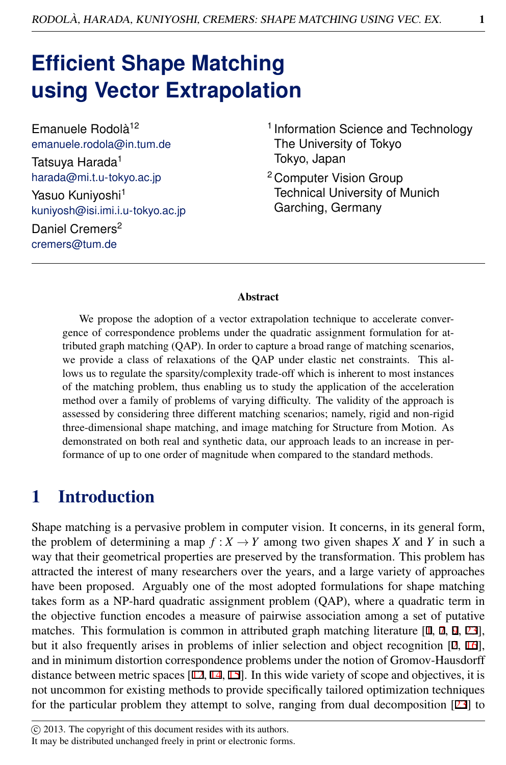# **Efficient Shape Matching using Vector Extrapolation**

Emanuele Rodolà<sup>12</sup> emanuele.rodola@in.tum.de Tatsuya Harada<sup>1</sup> harada@mi.t.u-tokyo.ac.jp Yasuo Kuniyoshi<sup>1</sup> kuniyosh@isi.imi.i.u-tokyo.ac.jp Daniel Cremers<sup>2</sup> cremers@tum.de

- <sup>1</sup> Information Science and Technology The University of Tokyo Tokyo, Japan
- <sup>2</sup> Computer Vision Group Technical University of Munich Garching, Germany

#### Abstract

We propose the adoption of a vector extrapolation technique to accelerate convergence of correspondence problems under the quadratic assignment formulation for attributed graph matching (QAP). In order to capture a broad range of matching scenarios, we provide a class of relaxations of the QAP under elastic net constraints. This allows us to regulate the sparsity/complexity trade-off which is inherent to most instances of the matching problem, thus enabling us to study the application of the acceleration method over a family of problems of varying difficulty. The validity of the approach is assessed by considering three different matching scenarios; namely, rigid and non-rigid three-dimensional shape matching, and image matching for Structure from Motion. As demonstrated on both real and synthetic data, our approach leads to an increase in performance of up to one order of magnitude when compared to the standard methods.

## 1 Introduction

Shape matching is a pervasive problem in computer vision. It concerns, in its general form, the problem of determining a map  $f: X \to Y$  among two given shapes X and Y in such a way that their geometrical properties are preserved by the transformation. This problem has attracted the interest of many researchers over the years, and a large variety of approaches have been proposed. Arguably one of the most adopted formulations for shape matching takes form as a NP-hard quadratic assignment problem (QAP), where a quadratic term in the objective function encodes a measure of pairwise association among a set of putative matches. This formulation is common in attributed graph matching literature  $[1, 7, 9, 23]$ , but it also frequently arises in problems of inlier selection and object recognition [2, 16], and in minimum distortion correspondence problems under the notion of Gromov-Hausdorff distance between metric spaces [12, 14, 15]. In this wide variety of scope and objectives, it is not uncommon for existing methods to provide specifically tailored optimization techniques for the particular problem they attempt to solve, ranging from dual decomposition [23] to

It may be distributed unchanged freely in print or electronic forms.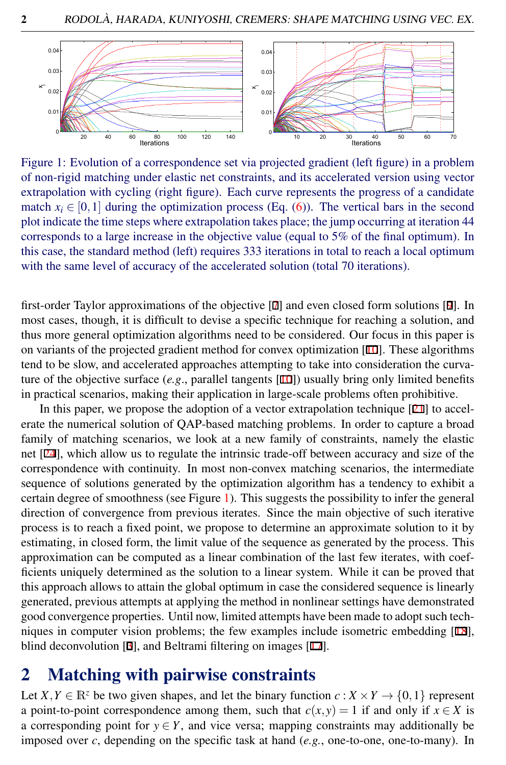

<span id="page-1-0"></span>Figure 1: Evolution of a correspondence set via projected gradient (left figure) in a problem of non-rigid matching under elastic net constraints, and its accelerated version using vector extrapolation with cycling (right figure). Each curve represents the progress of a candidate match  $x_i \in [0,1]$  during the optimization process (Eq. [\(6\)](#page-3-0)). The vertical bars in the second plot indicate the time steps where extrapolation takes place; the jump occurring at iteration 44 corresponds to a large increase in the objective value (equal to 5% of the final optimum). In this case, the standard method (left) requires 333 iterations in total to reach a local optimum with the same level of accuracy of the accelerated solution (total 70 iterations).

first-order Taylor approximations of the objective [7] and even closed form solutions [9]. In most cases, though, it is difficult to devise a specific technique for reaching a solution, and thus more general optimization algorithms need to be considered. Our focus in this paper is on variants of the projected gradient method for convex optimization [10]. These algorithms tend to be slow, and accelerated approaches attempting to take into consideration the curvature of the objective surface (*e.g*., parallel tangents [10]) usually bring only limited benefits in practical scenarios, making their application in large-scale problems often prohibitive.

In this paper, we propose the adoption of a vector extrapolation technique [21] to accelerate the numerical solution of QAP-based matching problems. In order to capture a broad family of matching scenarios, we look at a new family of constraints, namely the elastic net [24], which allow us to regulate the intrinsic trade-off between accuracy and size of the correspondence with continuity. In most non-convex matching scenarios, the intermediate sequence of solutions generated by the optimization algorithm has a tendency to exhibit a certain degree of smoothness (see Figure [1\)](#page-1-0). This suggests the possibility to infer the general direction of convergence from previous iterates. Since the main objective of such iterative process is to reach a fixed point, we propose to determine an approximate solution to it by estimating, in closed form, the limit value of the sequence as generated by the process. This approximation can be computed as a linear combination of the last few iterates, with coefficients uniquely determined as the solution to a linear system. While it can be proved that this approach allows to attain the global optimum in case the considered sequence is linearly generated, previous attempts at applying the method in nonlinear settings have demonstrated good convergence properties. Until now, limited attempts have been made to adopt such techniques in computer vision problems; the few examples include isometric embedding [18], blind deconvolution [3], and Beltrami filtering on images [17].

### 2 Matching with pairwise constraints

Let  $X, Y \in \mathbb{R}^z$  be two given shapes, and let the binary function  $c : X \times Y \to \{0,1\}$  represent a point-to-point correspondence among them, such that  $c(x, y) = 1$  if and only if  $x \in X$  is a corresponding point for  $y \in Y$ , and vice versa; mapping constraints may additionally be imposed over *c*, depending on the specific task at hand (*e.g.*, one-to-one, one-to-many). In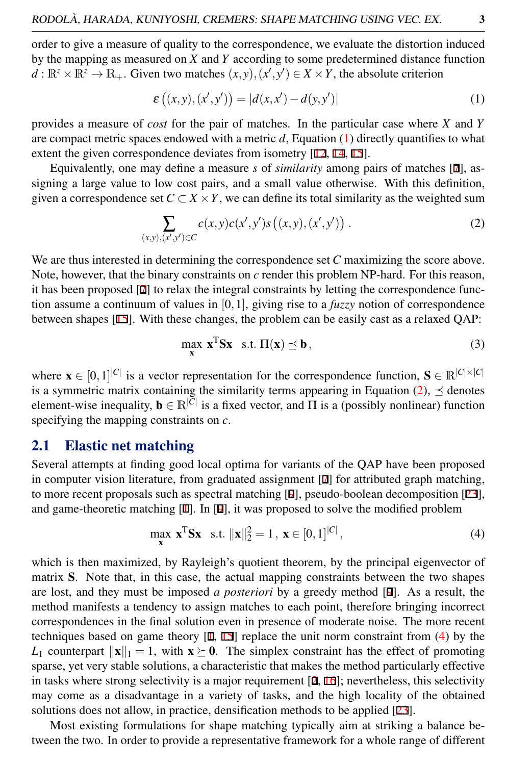order to give a measure of quality to the correspondence, we evaluate the distortion induced by the mapping as measured on *X* and *Y* according to some predetermined distance function  $d: \mathbb{R}^z \times \mathbb{R}^z \to \mathbb{R}_+$ . Given two matches  $(x, y), (x', y') \in X \times Y$ , the absolute criterion

<span id="page-2-0"></span>
$$
\varepsilon ((x, y), (x', y')) = |d(x, x') - d(y, y')|
$$
 (1)

provides a measure of *cost* for the pair of matches. In the particular case where *X* and *Y* are compact metric spaces endowed with a metric *d*, Equation [\(1\)](#page-2-0) directly quantifies to what extent the given correspondence deviates from isometry [12, 14, 15].

Equivalently, one may define a measure *s* of *similarity* among pairs of matches [7], assigning a large value to low cost pairs, and a small value otherwise. With this definition, given a correspondence set  $C \subset X \times Y$ , we can define its total similarity as the weighted sum

<span id="page-2-1"></span>
$$
\sum_{(x,y),(x',y')\in C} c(x,y)c(x',y')s((x,y),(x',y'))\ .
$$
 (2)

We are thus interested in determining the correspondence set *C* maximizing the score above. Note, however, that the binary constraints on *c* render this problem NP-hard. For this reason, it has been proposed [7] to relax the integral constraints by letting the correspondence function assume a continuum of values in [0,1], giving rise to a *fuzzy* notion of correspondence between shapes [15]. With these changes, the problem can be easily cast as a relaxed QAP:

$$
\max_{\mathbf{x}} \mathbf{x}^{\mathrm{T}} \mathbf{S} \mathbf{x} \quad \text{s.t.} \quad \Pi(\mathbf{x}) \preceq \mathbf{b} \,, \tag{3}
$$

where  $\mathbf{x} \in [0,1]^{|C|}$  is a vector representation for the correspondence function,  $\mathbf{S} \in \mathbb{R}^{|C| \times |C|}$ is a symmetric matrix containing the similarity terms appearing in Equation [\(2\)](#page-2-1),  $\preceq$  denotes element-wise inequality,  $\mathbf{b} \in \mathbb{R}^{|\bar{C}|}$  is a fixed vector, and  $\Pi$  is a (possibly nonlinear) function specifying the mapping constraints on *c*.

#### 2.1 Elastic net matching

Several attempts at finding good local optima for variants of the QAP have been proposed in computer vision literature, from graduated assignment [7] for attributed graph matching, to more recent proposals such as spectral matching [9], pseudo-boolean decomposition [23], and game-theoretic matching [1]. In [9], it was proposed to solve the modified problem

<span id="page-2-2"></span>
$$
\max_{\mathbf{x}} \mathbf{x}^{\mathrm{T}} \mathbf{S} \mathbf{x} \quad \text{s.t. } ||\mathbf{x}||_2^2 = 1 \,, \ \mathbf{x} \in [0, 1]^{|C|} \,, \tag{4}
$$

which is then maximized, by Rayleigh's quotient theorem, by the principal eigenvector of matrix S. Note that, in this case, the actual mapping constraints between the two shapes are lost, and they must be imposed *a posteriori* by a greedy method [9]. As a result, the method manifests a tendency to assign matches to each point, therefore bringing incorrect correspondences in the final solution even in presence of moderate noise. The more recent techniques based on game theory  $[1, 15]$  replace the unit norm constraint from  $(4)$  by the *L*<sub>1</sub> counterpart  $||\mathbf{x}||_1 = 1$ , with  $\mathbf{x} \succeq \mathbf{0}$ . The simplex constraint has the effect of promoting sparse, yet very stable solutions, a characteristic that makes the method particularly effective in tasks where strong selectivity is a major requirement  $[2, 16]$ ; nevertheless, this selectivity may come as a disadvantage in a variety of tasks, and the high locality of the obtained solutions does not allow, in practice, densification methods to be applied [23].

Most existing formulations for shape matching typically aim at striking a balance between the two. In order to provide a representative framework for a whole range of different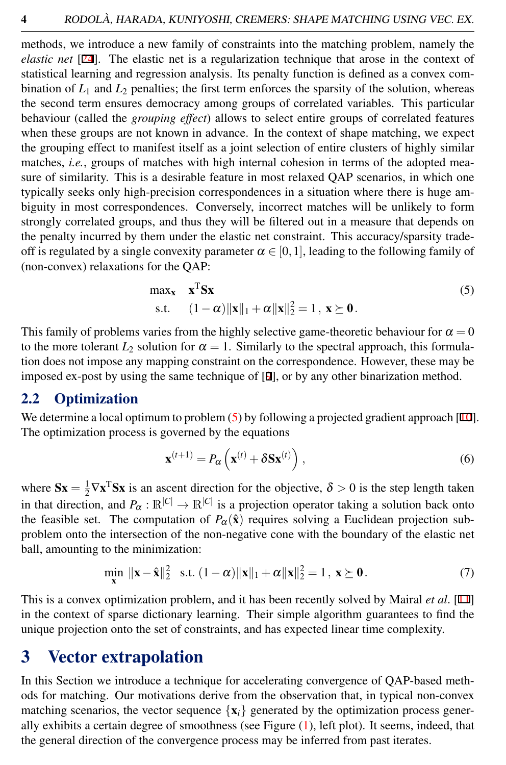methods, we introduce a new family of constraints into the matching problem, namely the *elastic net* [24]. The elastic net is a regularization technique that arose in the context of statistical learning and regression analysis. Its penalty function is defined as a convex combination of  $L_1$  and  $L_2$  penalties; the first term enforces the sparsity of the solution, whereas the second term ensures democracy among groups of correlated variables. This particular behaviour (called the *grouping effect*) allows to select entire groups of correlated features when these groups are not known in advance. In the context of shape matching, we expect the grouping effect to manifest itself as a joint selection of entire clusters of highly similar matches, *i.e.*, groups of matches with high internal cohesion in terms of the adopted measure of similarity. This is a desirable feature in most relaxed QAP scenarios, in which one typically seeks only high-precision correspondences in a situation where there is huge ambiguity in most correspondences. Conversely, incorrect matches will be unlikely to form strongly correlated groups, and thus they will be filtered out in a measure that depends on the penalty incurred by them under the elastic net constraint. This accuracy/sparsity tradeoff is regulated by a single convexity parameter  $\alpha \in [0,1]$ , leading to the following family of (non-convex) relaxations for the QAP:

<span id="page-3-1"></span>
$$
\begin{aligned}\n\max_{\mathbf{x}} \quad & \mathbf{x}^{\mathrm{T}} \mathbf{S} \mathbf{x} \\
\text{s.t.} \quad & (1 - \alpha) \|\mathbf{x}\|_1 + \alpha \|\mathbf{x}\|_2^2 = 1, \ \mathbf{x} \succeq \mathbf{0}.\n\end{aligned} \tag{5}
$$

This family of problems varies from the highly selective game-theoretic behaviour for  $\alpha = 0$ to the more tolerant  $L_2$  solution for  $\alpha = 1$ . Similarly to the spectral approach, this formulation does not impose any mapping constraint on the correspondence. However, these may be imposed ex-post by using the same technique of [9], or by any other binarization method.

#### 2.2 Optimization

We determine a local optimum to problem  $(5)$  by following a projected gradient approach [10]. The optimization process is governed by the equations

<span id="page-3-0"></span>
$$
\mathbf{x}^{(t+1)} = P_{\alpha} \left( \mathbf{x}^{(t)} + \delta \mathbf{S} \mathbf{x}^{(t)} \right), \tag{6}
$$

where  $Sx = \frac{1}{2} \nabla x^T Sx$  is an ascent direction for the objective,  $\delta > 0$  is the step length taken in that direction, and  $P_{\alpha}: \mathbb{R}^{|C|} \to \mathbb{R}^{|C|}$  is a projection operator taking a solution back onto the feasible set. The computation of  $P_\alpha(\hat{\mathbf{x}})$  requires solving a Euclidean projection subproblem onto the intersection of the non-negative cone with the boundary of the elastic net ball, amounting to the minimization:

$$
\min_{\mathbf{x}} \|\mathbf{x} - \hat{\mathbf{x}}\|_2^2 \quad \text{s.t.} \quad (1 - \alpha) \|\mathbf{x}\|_1 + \alpha \|\mathbf{x}\|_2^2 = 1, \quad \mathbf{x} \succeq \mathbf{0}. \tag{7}
$$

This is a convex optimization problem, and it has been recently solved by Mairal *et al*. [11] in the context of sparse dictionary learning. Their simple algorithm guarantees to find the unique projection onto the set of constraints, and has expected linear time complexity.

### 3 Vector extrapolation

In this Section we introduce a technique for accelerating convergence of QAP-based methods for matching. Our motivations derive from the observation that, in typical non-convex matching scenarios, the vector sequence  $\{x_i\}$  generated by the optimization process generally exhibits a certain degree of smoothness (see Figure [\(1\)](#page-1-0), left plot). It seems, indeed, that the general direction of the convergence process may be inferred from past iterates.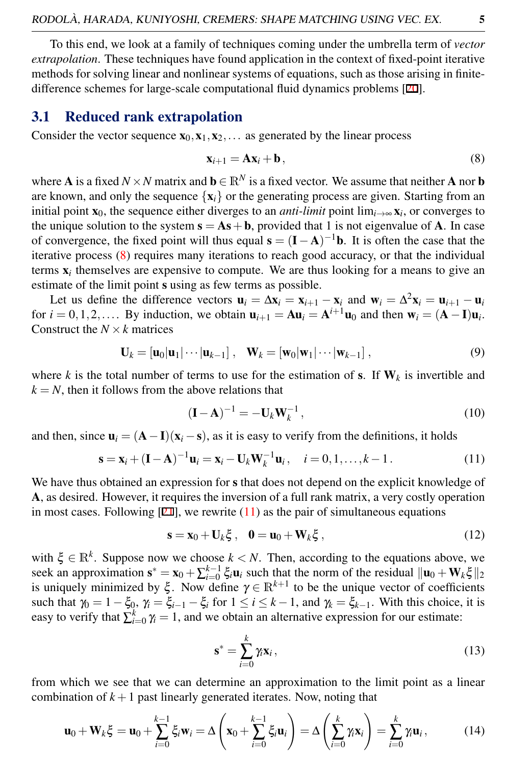To this end, we look at a family of techniques coming under the umbrella term of *vector extrapolation*. These techniques have found application in the context of fixed-point iterative methods for solving linear and nonlinear systems of equations, such as those arising in finitedifference schemes for large-scale computational fluid dynamics problems [20].

#### 3.1 Reduced rank extrapolation

Consider the vector sequence  $x_0, x_1, x_2, \ldots$  as generated by the linear process

<span id="page-4-0"></span>
$$
\mathbf{x}_{i+1} = \mathbf{A}\mathbf{x}_i + \mathbf{b},\tag{8}
$$

where **A** is a fixed  $N \times N$  matrix and  $\mathbf{b} \in \mathbb{R}^N$  is a fixed vector. We assume that neither **A** nor **b** are known, and only the sequence  $\{x_i\}$  or the generating process are given. Starting from an initial point  $\mathbf{x}_0$ , the sequence either diverges to an *anti-limit* point lim<sub>*i*→∞</sub>  $\mathbf{x}_i$ , or converges to the unique solution to the system  $s = As + b$ , provided that 1 is not eigenvalue of A. In case of convergence, the fixed point will thus equal  $\mathbf{s} = (\mathbf{I} - \mathbf{A})^{-1} \mathbf{b}$ . It is often the case that the iterative process [\(8\)](#page-4-0) requires many iterations to reach good accuracy, or that the individual terms  $x_i$  themselves are expensive to compute. We are thus looking for a means to give an estimate of the limit point s using as few terms as possible.

Let us define the difference vectors  $\mathbf{u}_i = \Delta \mathbf{x}_i = \mathbf{x}_{i+1} - \mathbf{x}_i$  and  $\mathbf{w}_i = \Delta^2 \mathbf{x}_i = \mathbf{u}_{i+1} - \mathbf{u}_i$ for  $i = 0, 1, 2, \ldots$  By induction, we obtain  $\mathbf{u}_{i+1} = A \mathbf{u}_i = A^{i+1} \mathbf{u}_0$  and then  $\mathbf{w}_i = (A - I) \mathbf{u}_i$ . Construct the  $N \times k$  matrices

$$
\mathbf{U}_k = \left[\mathbf{u}_0|\mathbf{u}_1|\cdots|\mathbf{u}_{k-1}\right], \quad \mathbf{W}_k = \left[\mathbf{w}_0|\mathbf{w}_1|\cdots|\mathbf{w}_{k-1}\right],\tag{9}
$$

where *k* is the total number of terms to use for the estimation of **s**. If  $W_k$  is invertible and  $k = N$ , then it follows from the above relations that

$$
(\mathbf{I} - \mathbf{A})^{-1} = -\mathbf{U}_k \mathbf{W}_k^{-1},\tag{10}
$$

and then, since  $\mathbf{u}_i = (\mathbf{A} - \mathbf{I})(\mathbf{x}_i - \mathbf{s})$ , as it is easy to verify from the definitions, it holds

<span id="page-4-1"></span>
$$
\mathbf{s} = \mathbf{x}_i + (\mathbf{I} - \mathbf{A})^{-1} \mathbf{u}_i = \mathbf{x}_i - \mathbf{U}_k \mathbf{W}_k^{-1} \mathbf{u}_i, \quad i = 0, 1, \dots, k - 1.
$$
 (11)

We have thus obtained an expression for s that does not depend on the explicit knowledge of A, as desired. However, it requires the inversion of a full rank matrix, a very costly operation in most cases. Following  $[21]$ , we rewrite  $(11)$  as the pair of simultaneous equations

<span id="page-4-2"></span>
$$
\mathbf{s} = \mathbf{x}_0 + \mathbf{U}_k \boldsymbol{\xi} \,, \quad \mathbf{0} = \mathbf{u}_0 + \mathbf{W}_k \boldsymbol{\xi} \,, \tag{12}
$$

with  $\xi \in \mathbb{R}^k$ . Suppose now we choose  $k < N$ . Then, according to the equations above, we seek an approximation  $s^* = x_0 + \sum_{i=0}^{k-1} \xi_i \mathbf{u}_i$  such that the norm of the residual  $\|\mathbf{u}_0 + \mathbf{W}_k \xi\|_2$ is uniquely minimized by  $\xi$ . Now define  $\gamma \in \mathbb{R}^{k+1}$  to be the unique vector of coefficients such that  $\gamma_0 = 1 - \xi_0$ ,  $\gamma_i = \xi_{i-1} - \xi_i$  for  $1 \le i \le k-1$ , and  $\gamma_k = \xi_{k-1}$ . With this choice, it is easy to verify that  $\sum_{i=0}^{k} \gamma_i = 1$ , and we obtain an alternative expression for our estimate:

<span id="page-4-3"></span>
$$
\mathbf{s}^* = \sum_{i=0}^k \gamma_i \mathbf{x}_i, \tag{13}
$$

from which we see that we can determine an approximation to the limit point as a linear combination of  $k+1$  past linearly generated iterates. Now, noting that

$$
\mathbf{u}_0 + \mathbf{W}_k \boldsymbol{\xi} = \mathbf{u}_0 + \sum_{i=0}^{k-1} \xi_i \mathbf{w}_i = \Delta \left( \mathbf{x}_0 + \sum_{i=0}^{k-1} \xi_i \mathbf{u}_i \right) = \Delta \left( \sum_{i=0}^k \gamma_i \mathbf{x}_i \right) = \sum_{i=0}^k \gamma_i \mathbf{u}_i, \tag{14}
$$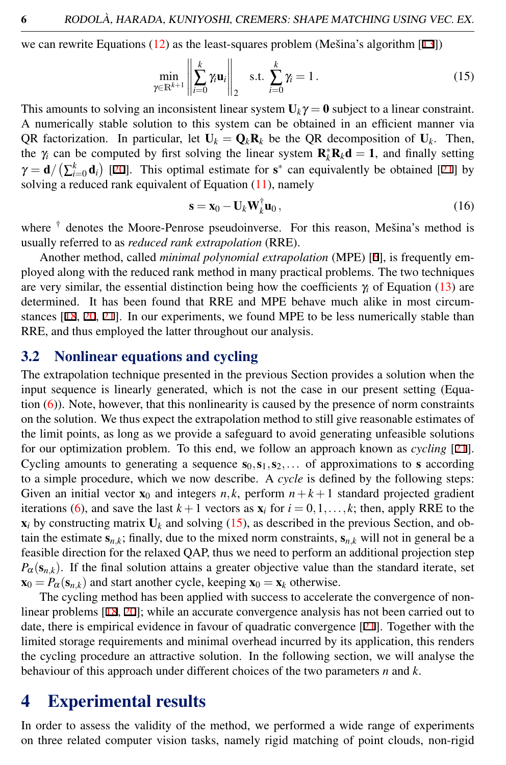we can rewrite Equations  $(12)$  as the least-squares problem (Mešina's algorithm [13])

<span id="page-5-0"></span>
$$
\min_{\gamma \in \mathbb{R}^{k+1}} \left\| \sum_{i=0}^{k} \gamma_i \mathbf{u}_i \right\|_2 \quad \text{s.t.} \quad \sum_{i=0}^{k} \gamma_i = 1 \,. \tag{15}
$$

This amounts to solving an inconsistent linear system  $U_k \gamma = 0$  subject to a linear constraint. A numerically stable solution to this system can be obtained in an efficient manner via QR factorization. In particular, let  $U_k = Q_k R_k$  be the QR decomposition of  $U_k$ . Then, the  $\gamma_i$  can be computed by first solving the linear system  $\mathbf{R}_k^* \mathbf{R}_k \mathbf{d} = 1$ , and finally setting  $\gamma = \mathbf{d}/(\sum_{i=0}^{k} \mathbf{d}_i)$  [20]. This optimal estimate for  $\mathbf{s}^*$  can equivalently be obtained [21] by solving a reduced rank equivalent of Equation [\(11\)](#page-4-1), namely

$$
\mathbf{s} = \mathbf{x}_0 - \mathbf{U}_k \mathbf{W}_k^{\dagger} \mathbf{u}_0, \qquad (16)
$$

where <sup>†</sup> denotes the Moore-Penrose pseudoinverse. For this reason, Mešina's method is usually referred to as *reduced rank extrapolation* (RRE).

Another method, called *minimal polynomial extrapolation* (MPE) [6], is frequently employed along with the reduced rank method in many practical problems. The two techniques are very similar, the essential distinction being how the coefficients γ*<sup>i</sup>* of Equation [\(13\)](#page-4-3) are determined. It has been found that RRE and MPE behave much alike in most circumstances [18, 20, 21]. In our experiments, we found MPE to be less numerically stable than RRE, and thus employed the latter throughout our analysis.

#### 3.2 Nonlinear equations and cycling

The extrapolation technique presented in the previous Section provides a solution when the input sequence is linearly generated, which is not the case in our present setting (Equation  $(6)$ ). Note, however, that this nonlinearity is caused by the presence of norm constraints on the solution. We thus expect the extrapolation method to still give reasonable estimates of the limit points, as long as we provide a safeguard to avoid generating unfeasible solutions for our optimization problem. To this end, we follow an approach known as *cycling* [21]. Cycling amounts to generating a sequence  $s_0, s_1, s_2, \ldots$  of approximations to s according to a simple procedure, which we now describe. A *cycle* is defined by the following steps: Given an initial vector  $\mathbf{x}_0$  and integers  $n, k$ , perform  $n + k + 1$  standard projected gradient iterations [\(6\)](#page-3-0), and save the last  $k+1$  vectors as  $\mathbf{x}_i$  for  $i = 0, 1, \ldots, k$ ; then, apply RRE to the  $\mathbf{x}_i$  by constructing matrix  $\mathbf{U}_k$  and solving [\(15\)](#page-5-0), as described in the previous Section, and obtain the estimate  $s_{n,k}$ ; finally, due to the mixed norm constraints,  $s_{n,k}$  will not in general be a feasible direction for the relaxed QAP, thus we need to perform an additional projection step  $P_{\alpha}(s_{n,k})$ . If the final solution attains a greater objective value than the standard iterate, set  $\mathbf{x}_0 = P_\alpha(\mathbf{s}_{n,k})$  and start another cycle, keeping  $\mathbf{x}_0 = \mathbf{x}_k$  otherwise.

The cycling method has been applied with success to accelerate the convergence of nonlinear problems [18, 20]; while an accurate convergence analysis has not been carried out to date, there is empirical evidence in favour of quadratic convergence [21]. Together with the limited storage requirements and minimal overhead incurred by its application, this renders the cycling procedure an attractive solution. In the following section, we will analyse the behaviour of this approach under different choices of the two parameters *n* and *k*.

### 4 Experimental results

In order to assess the validity of the method, we performed a wide range of experiments on three related computer vision tasks, namely rigid matching of point clouds, non-rigid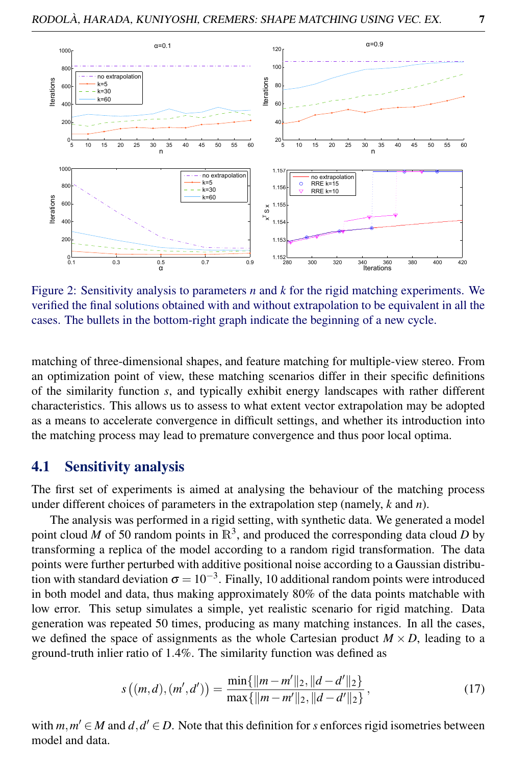

<span id="page-6-0"></span>Figure 2: Sensitivity analysis to parameters *n* and *k* for the rigid matching experiments. We verified the final solutions obtained with and without extrapolation to be equivalent in all the cases. The bullets in the bottom-right graph indicate the beginning of a new cycle.

matching of three-dimensional shapes, and feature matching for multiple-view stereo. From an optimization point of view, these matching scenarios differ in their specific definitions of the similarity function *s*, and typically exhibit energy landscapes with rather different characteristics. This allows us to assess to what extent vector extrapolation may be adopted as a means to accelerate convergence in difficult settings, and whether its introduction into the matching process may lead to premature convergence and thus poor local optima.

#### 4.1 Sensitivity analysis

The first set of experiments is aimed at analysing the behaviour of the matching process under different choices of parameters in the extrapolation step (namely, *k* and *n*).

The analysis was performed in a rigid setting, with synthetic data. We generated a model point cloud *M* of 50 random points in  $\mathbb{R}^3$ , and produced the corresponding data cloud *D* by transforming a replica of the model according to a random rigid transformation. The data points were further perturbed with additive positional noise according to a Gaussian distribution with standard deviation  $\sigma = 10^{-3}$ . Finally, 10 additional random points were introduced in both model and data, thus making approximately 80% of the data points matchable with low error. This setup simulates a simple, yet realistic scenario for rigid matching. Data generation was repeated 50 times, producing as many matching instances. In all the cases, we defined the space of assignments as the whole Cartesian product  $M \times D$ , leading to a ground-truth inlier ratio of 1.4%. The similarity function was defined as

<span id="page-6-1"></span>
$$
s((m,d),(m',d')) = \frac{\min\{\|m-m'\|_2, \|d-d'\|_2\}}{\max\{\|m-m'\|_2, \|d-d'\|_2\}},
$$
\n(17)

with  $m, m' \in M$  and  $d, d' \in D$ . Note that this definition for *s* enforces rigid isometries between model and data.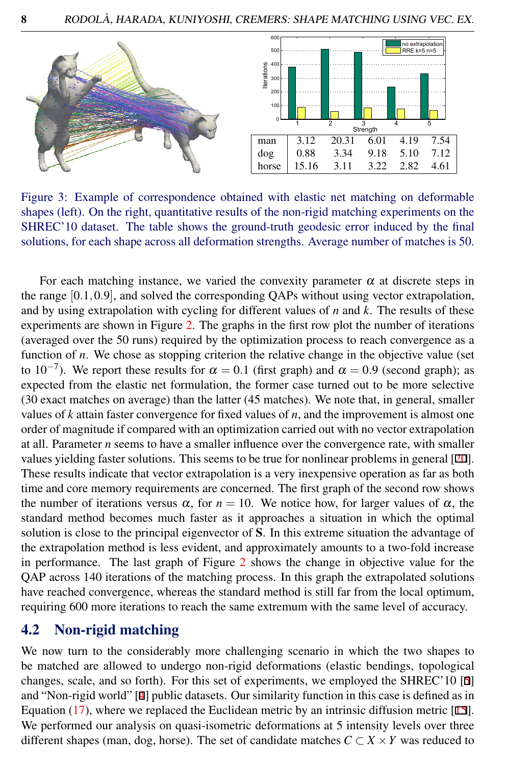

<span id="page-7-0"></span>Figure 3: Example of correspondence obtained with elastic net matching on deformable shapes (left). On the right, quantitative results of the non-rigid matching experiments on the SHREC'10 dataset. The table shows the ground-truth geodesic error induced by the final solutions, for each shape across all deformation strengths. Average number of matches is 50.

For each matching instance, we varied the convexity parameter  $\alpha$  at discrete steps in the range [0.1,0.9], and solved the corresponding QAPs without using vector extrapolation, and by using extrapolation with cycling for different values of *n* and *k*. The results of these experiments are shown in Figure [2.](#page-6-0) The graphs in the first row plot the number of iterations (averaged over the 50 runs) required by the optimization process to reach convergence as a function of *n*. We chose as stopping criterion the relative change in the objective value (set to 10<sup>-7</sup>). We report these results for  $\alpha = 0.1$  (first graph) and  $\alpha = 0.9$  (second graph); as expected from the elastic net formulation, the former case turned out to be more selective (30 exact matches on average) than the latter (45 matches). We note that, in general, smaller values of *k* attain faster convergence for fixed values of *n*, and the improvement is almost one order of magnitude if compared with an optimization carried out with no vector extrapolation at all. Parameter *n* seems to have a smaller influence over the convergence rate, with smaller values yielding faster solutions. This seems to be true for nonlinear problems in general [20]. These results indicate that vector extrapolation is a very inexpensive operation as far as both time and core memory requirements are concerned. The first graph of the second row shows the number of iterations versus  $\alpha$ , for  $n = 10$ . We notice how, for larger values of  $\alpha$ , the standard method becomes much faster as it approaches a situation in which the optimal solution is close to the principal eigenvector of S. In this extreme situation the advantage of the extrapolation method is less evident, and approximately amounts to a two-fold increase in performance. The last graph of Figure [2](#page-6-0) shows the change in objective value for the QAP across 140 iterations of the matching process. In this graph the extrapolated solutions have reached convergence, whereas the standard method is still far from the local optimum, requiring 600 more iterations to reach the same extremum with the same level of accuracy.

#### 4.2 Non-rigid matching

We now turn to the considerably more challenging scenario in which the two shapes to be matched are allowed to undergo non-rigid deformations (elastic bendings, topological changes, scale, and so forth). For this set of experiments, we employed the SHREC'10 [5] and "Non-rigid world" [4] public datasets. Our similarity function in this case is defined as in Equation [\(17\)](#page-6-1), where we replaced the Euclidean metric by an intrinsic diffusion metric [15]. We performed our analysis on quasi-isometric deformations at 5 intensity levels over three different shapes (man, dog, horse). The set of candidate matches  $C \subset X \times Y$  was reduced to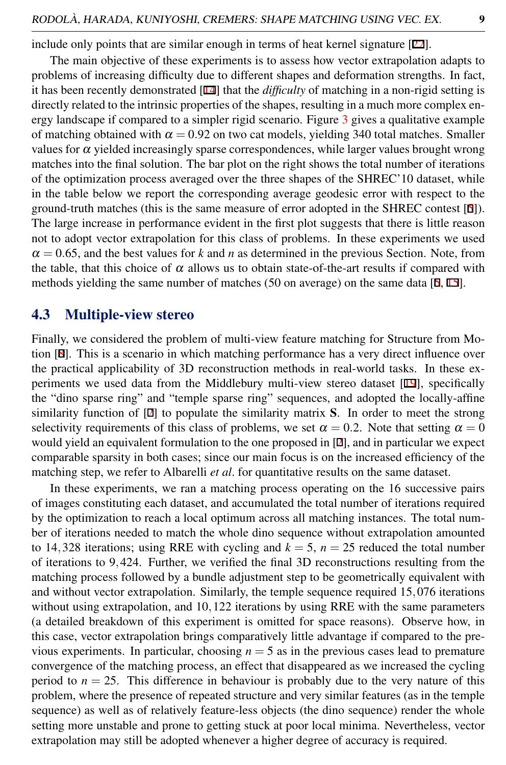include only points that are similar enough in terms of heat kernel signature [22].

The main objective of these experiments is to assess how vector extrapolation adapts to problems of increasing difficulty due to different shapes and deformation strengths. In fact, it has been recently demonstrated [14] that the *difficulty* of matching in a non-rigid setting is directly related to the intrinsic properties of the shapes, resulting in a much more complex energy landscape if compared to a simpler rigid scenario. Figure [3](#page-7-0) gives a qualitative example of matching obtained with  $\alpha = 0.92$  on two cat models, yielding 340 total matches. Smaller values for  $\alpha$  yielded increasingly sparse correspondences, while larger values brought wrong matches into the final solution. The bar plot on the right shows the total number of iterations of the optimization process averaged over the three shapes of the SHREC'10 dataset, while in the table below we report the corresponding average geodesic error with respect to the ground-truth matches (this is the same measure of error adopted in the SHREC contest  $[5]$ ). The large increase in performance evident in the first plot suggests that there is little reason not to adopt vector extrapolation for this class of problems. In these experiments we used  $\alpha = 0.65$ , and the best values for k and *n* as determined in the previous Section. Note, from the table, that this choice of  $\alpha$  allows us to obtain state-of-the-art results if compared with methods yielding the same number of matches (50 on average) on the same data [5, 15].

#### 4.3 Multiple-view stereo

Finally, we considered the problem of multi-view feature matching for Structure from Motion [8]. This is a scenario in which matching performance has a very direct influence over the practical applicability of 3D reconstruction methods in real-world tasks. In these experiments we used data from the Middlebury multi-view stereo dataset [19], specifically the "dino sparse ring" and "temple sparse ring" sequences, and adopted the locally-affine similarity function of [2] to populate the similarity matrix S. In order to meet the strong selectivity requirements of this class of problems, we set  $\alpha = 0.2$ . Note that setting  $\alpha = 0$ would yield an equivalent formulation to the one proposed in [2], and in particular we expect comparable sparsity in both cases; since our main focus is on the increased efficiency of the matching step, we refer to Albarelli *et al*. for quantitative results on the same dataset.

In these experiments, we ran a matching process operating on the 16 successive pairs of images constituting each dataset, and accumulated the total number of iterations required by the optimization to reach a local optimum across all matching instances. The total number of iterations needed to match the whole dino sequence without extrapolation amounted to 14,328 iterations; using RRE with cycling and  $k = 5$ ,  $n = 25$  reduced the total number of iterations to 9,424. Further, we verified the final 3D reconstructions resulting from the matching process followed by a bundle adjustment step to be geometrically equivalent with and without vector extrapolation. Similarly, the temple sequence required 15,076 iterations without using extrapolation, and 10,122 iterations by using RRE with the same parameters (a detailed breakdown of this experiment is omitted for space reasons). Observe how, in this case, vector extrapolation brings comparatively little advantage if compared to the previous experiments. In particular, choosing  $n = 5$  as in the previous cases lead to premature convergence of the matching process, an effect that disappeared as we increased the cycling period to  $n = 25$ . This difference in behaviour is probably due to the very nature of this problem, where the presence of repeated structure and very similar features (as in the temple sequence) as well as of relatively feature-less objects (the dino sequence) render the whole setting more unstable and prone to getting stuck at poor local minima. Nevertheless, vector extrapolation may still be adopted whenever a higher degree of accuracy is required.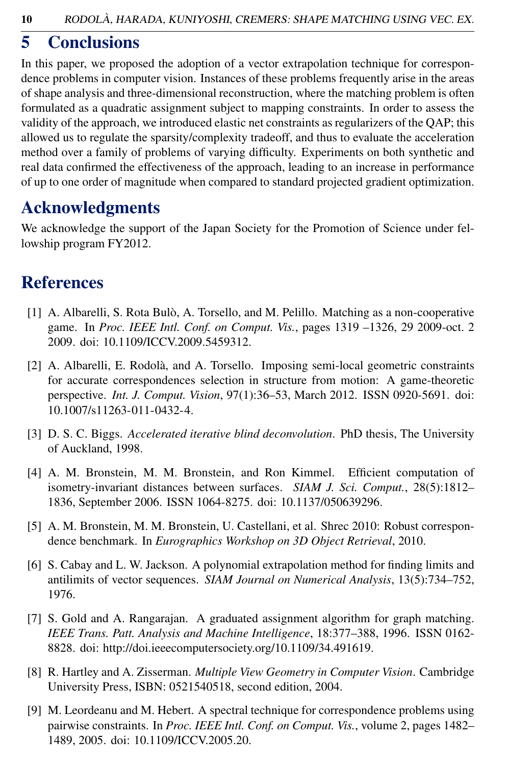# 5 Conclusions

In this paper, we proposed the adoption of a vector extrapolation technique for correspondence problems in computer vision. Instances of these problems frequently arise in the areas of shape analysis and three-dimensional reconstruction, where the matching problem is often formulated as a quadratic assignment subject to mapping constraints. In order to assess the validity of the approach, we introduced elastic net constraints as regularizers of the QAP; this allowed us to regulate the sparsity/complexity tradeoff, and thus to evaluate the acceleration method over a family of problems of varying difficulty. Experiments on both synthetic and real data confirmed the effectiveness of the approach, leading to an increase in performance of up to one order of magnitude when compared to standard projected gradient optimization.

# Acknowledgments

We acknowledge the support of the Japan Society for the Promotion of Science under fellowship program FY2012.

# References

- [1] A. Albarelli, S. Rota Bulò, A. Torsello, and M. Pelillo. Matching as a non-cooperative game. In *Proc. IEEE Intl. Conf. on Comput. Vis.*, pages 1319 –1326, 29 2009-oct. 2 2009. doi: 10.1109/ICCV.2009.5459312.
- [2] A. Albarelli, E. Rodolà, and A. Torsello. Imposing semi-local geometric constraints for accurate correspondences selection in structure from motion: A game-theoretic perspective. *Int. J. Comput. Vision*, 97(1):36–53, March 2012. ISSN 0920-5691. doi: 10.1007/s11263-011-0432-4.
- [3] D. S. C. Biggs. *Accelerated iterative blind deconvolution*. PhD thesis, The University of Auckland, 1998.
- [4] A. M. Bronstein, M. M. Bronstein, and Ron Kimmel. Efficient computation of isometry-invariant distances between surfaces. *SIAM J. Sci. Comput.*, 28(5):1812– 1836, September 2006. ISSN 1064-8275. doi: 10.1137/050639296.
- [5] A. M. Bronstein, M. M. Bronstein, U. Castellani, et al. Shrec 2010: Robust correspondence benchmark. In *Eurographics Workshop on 3D Object Retrieval*, 2010.
- [6] S. Cabay and L. W. Jackson. A polynomial extrapolation method for finding limits and antilimits of vector sequences. *SIAM Journal on Numerical Analysis*, 13(5):734–752, 1976.
- [7] S. Gold and A. Rangarajan. A graduated assignment algorithm for graph matching. *IEEE Trans. Patt. Analysis and Machine Intelligence*, 18:377–388, 1996. ISSN 0162- 8828. doi: http://doi.ieeecomputersociety.org/10.1109/34.491619.
- [8] R. Hartley and A. Zisserman. *Multiple View Geometry in Computer Vision*. Cambridge University Press, ISBN: 0521540518, second edition, 2004.
- [9] M. Leordeanu and M. Hebert. A spectral technique for correspondence problems using pairwise constraints. In *Proc. IEEE Intl. Conf. on Comput. Vis.*, volume 2, pages 1482– 1489, 2005. doi: 10.1109/ICCV.2005.20.